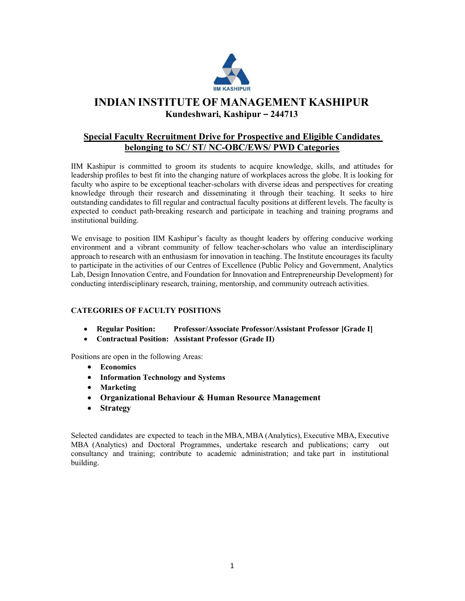

# INDIAN INSTITUTE OF MANAGEMENT KASHIPUR Kundeshwari, Kashipur – 244713

## Special Faculty Recruitment Drive for Prospective and Eligible Candidates belonging to SC/ ST/ NC-OBC/EWS/ PWD Categories

IIM Kashipur is committed to groom its students to acquire knowledge, skills, and attitudes for leadership profiles to best fit into the changing nature of workplaces across the globe. It is looking for faculty who aspire to be exceptional teacher-scholars with diverse ideas and perspectives for creating knowledge through their research and disseminating it through their teaching. It seeks to hire outstanding candidates to fill regular and contractual faculty positions at different levels. The faculty is expected to conduct path-breaking research and participate in teaching and training programs and institutional building.

We envisage to position IIM Kashipur's faculty as thought leaders by offering conducive working environment and a vibrant community of fellow teacher-scholars who value an interdisciplinary approach to research with an enthusiasm for innovation in teaching. The Institute encourages its faculty to participate in the activities of our Centres of Excellence (Public Policy and Government, Analytics Lab, Design Innovation Centre, and Foundation for Innovation and Entrepreneurship Development) for conducting interdisciplinary research, training, mentorship, and community outreach activities.

## CATEGORIES OF FACULTY POSITIONS

- Regular Position: Professor/Associate Professor/Assistant Professor [Grade I]
- Contractual Position: Assistant Professor (Grade II)

Positions are open in the following Areas:

- Economics
- Information Technology and Systems
- Marketing
- Organizational Behaviour & Human Resource Management
- Strategy

Selected candidates are expected to teach in the MBA, MBA (Analytics), Executive MBA, Executive MBA (Analytics) and Doctoral Programmes, undertake research and publications; carry out consultancy and training; contribute to academic administration; and take part in institutional building.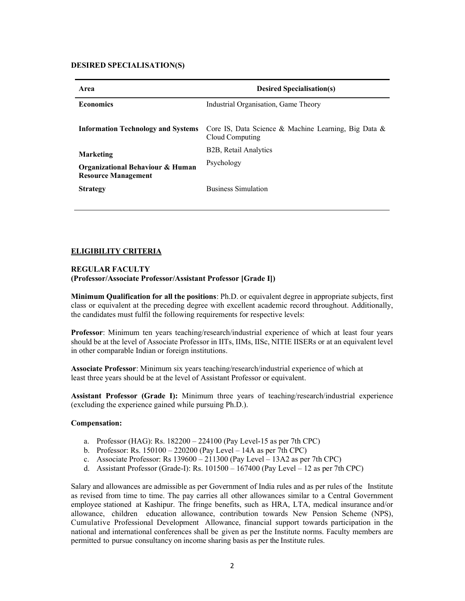## DESIRED SPECIALISATION(S)

| Area                                                           | <b>Desired Specialisation(s)</b>                                        |
|----------------------------------------------------------------|-------------------------------------------------------------------------|
| <b>Economics</b>                                               | Industrial Organisation, Game Theory                                    |
| <b>Information Technology and Systems</b>                      | Core IS, Data Science & Machine Learning, Big Data &<br>Cloud Computing |
| <b>Marketing</b>                                               | B <sub>2</sub> B, Retail Analytics                                      |
| Organizational Behaviour & Human<br><b>Resource Management</b> | Psychology                                                              |
| <b>Strategy</b>                                                | <b>Business Simulation</b>                                              |

## ELIGIBILITY CRITERIA

#### REGULAR FACULTY (Professor/Associate Professor/Assistant Professor [Grade I])

Minimum Qualification for all the positions: Ph.D. or equivalent degree in appropriate subjects, first class or equivalent at the preceding degree with excellent academic record throughout. Additionally, the candidates must fulfil the following requirements for respective levels:

Professor: Minimum ten years teaching/research/industrial experience of which at least four years should be at the level of Associate Professor in IITs, IIMs, IISc, NITIE IISERs or at an equivalent level in other comparable Indian or foreign institutions.

Associate Professor: Minimum six years teaching/research/industrial experience of which at least three years should be at the level of Assistant Professor or equivalent.

Assistant Professor (Grade I): Minimum three years of teaching/research/industrial experience (excluding the experience gained while pursuing Ph.D.).

#### Compensation:

- a. Professor (HAG): Rs. 182200 224100 (Pay Level-15 as per 7th CPC)
- b. Professor: Rs. 150100 220200 (Pay Level 14A as per 7th CPC)
- c. Associate Professor: Rs 139600 211300 (Pay Level 13A2 as per 7th CPC)
- d. Assistant Professor (Grade-I): Rs.  $101500 167400$  (Pay Level 12 as per 7th CPC)

Salary and allowances are admissible as per Government of India rules and as per rules of the Institute as revised from time to time. The pay carries all other allowances similar to a Central Government employee stationed at Kashipur. The fringe benefits, such as HRA, LTA, medical insurance and/or allowance, children education allowance, contribution towards New Pension Scheme (NPS), Cumulative Professional Development Allowance, financial support towards participation in the national and international conferences shall be given as per the Institute norms. Faculty members are permitted to pursue consultancy on income sharing basis as per the Institute rules.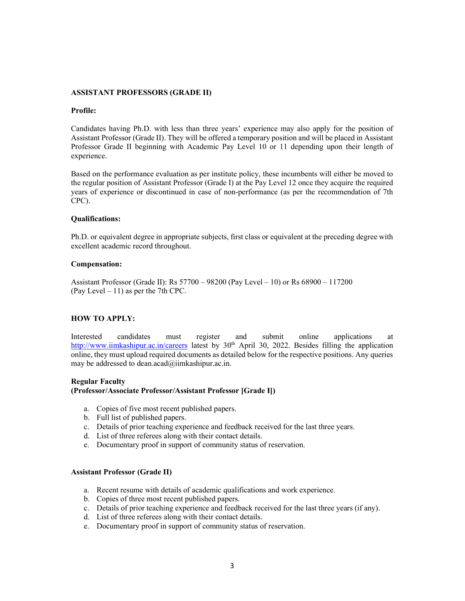#### ASSISTANT PROFESSORS (GRADE II)

#### Profile:

Candidates having Ph.D. with less than three years' experience may also apply for the position of Assistant Professor (Grade II). They will be offered a temporary position and will be placed in Assistant Professor Grade II beginning with Academic Pay Level 10 or 11 depending upon their length of experience.

Based on the performance evaluation as per institute policy, these incumbents will either be moved to the regular position of Assistant Professor (Grade I) at the Pay Level 12 once they acquire the required years of experience or discontinued in case of non-performance (as per the recommendation of 7th CPC).

#### Qualifications:

Ph.D. or equivalent degree in appropriate subjects, first class or equivalent at the preceding degree with excellent academic record throughout.

## Compensation:

Assistant Professor (Grade II): Rs 57700 – 98200 (Pay Level – 10) or Rs 68900 – 117200 (Pay Level  $-11$ ) as per the 7th CPC.

## HOW TO APPLY:

Interested candidates must register and submit online applications at http://www.iimkashipur.ac.in/careers latest by  $30<sup>th</sup>$  April 30, 2022. Besides filling the application online, they must upload required documents as detailed below for the respective positions. Any queries may be addressed to dean.acad@iimkashipur.ac.in.

#### Regular Faculty

## (Professor/Associate Professor/Assistant Professor [Grade I])

- a. Copies of five most recent published papers.
- b. Full list of published papers.
- c. Details of prior teaching experience and feedback received for the last three years.
- d. List of three referees along with their contact details.
- e. Documentary proof in support of community status of reservation.

#### Assistant Professor (Grade II)

- a. Recent resume with details of academic qualifications and work experience.
- b. Copies of three most recent published papers.
- c. Details of prior teaching experience and feedback received for the last three years (if any).
- d. List of three referees along with their contact details.
- e. Documentary proof in support of community status of reservation.